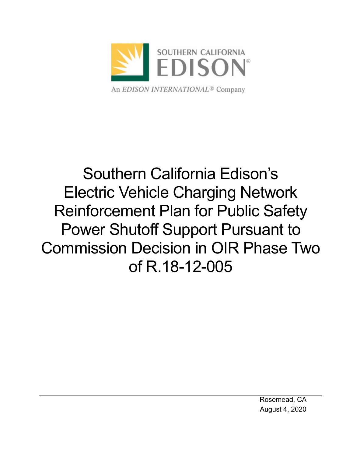

# Southern California Edison's Electric Vehicle Charging Network Reinforcement Plan for Public Safety Power Shutoff Support Pursuant to Commission Decision in OIR Phase Two of R.18-12-005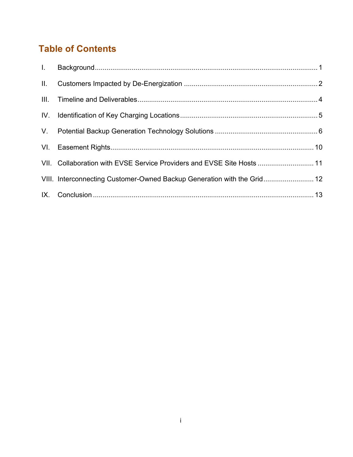## **Table of Contents**

| II. |                                                                         |  |
|-----|-------------------------------------------------------------------------|--|
|     |                                                                         |  |
|     |                                                                         |  |
|     |                                                                         |  |
|     |                                                                         |  |
|     | VII. Collaboration with EVSE Service Providers and EVSE Site Hosts  11  |  |
|     | VIII. Interconnecting Customer-Owned Backup Generation with the Grid 12 |  |
|     |                                                                         |  |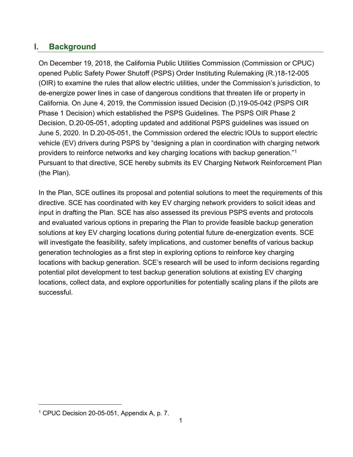## <span id="page-2-0"></span>**I. Background**

On December 19, 2018, the California Public Utilities Commission (Commission or CPUC) opened Public Safety Power Shutoff (PSPS) Order Instituting Rulemaking (R.)18-12-005 (OIR) to examine the rules that allow electric utilities, under the Commission's jurisdiction, to de-energize power lines in case of dangerous conditions that threaten life or property in California. On June 4, 2019, the Commission issued Decision (D.)19-05-042 (PSPS OIR Phase 1 Decision) which established the PSPS Guidelines. The PSPS OIR Phase 2 Decision, D.20-05-051, adopting updated and additional PSPS guidelines was issued on June 5, 2020. In D.20-05-051, the Commission ordered the electric IOUs to support electric vehicle (EV) drivers during PSPS by "designing a plan in coordination with charging network providers to reinforce networks and key charging locations with backup generation."<sup>1</sup> Pursuant to that directive, SCE hereby submits its EV Charging Network Reinforcement Plan (the Plan).

In the Plan, SCE outlines its proposal and potential solutions to meet the requirements of this directive. SCE has coordinated with key EV charging network providers to solicit ideas and input in drafting the Plan. SCE has also assessed its previous PSPS events and protocols and evaluated various options in preparing the Plan to provide feasible backup generation solutions at key EV charging locations during potential future de-energization events. SCE will investigate the feasibility, safety implications, and customer benefits of various backup generation technologies as a first step in exploring options to reinforce key charging locations with backup generation. SCE's research will be used to inform decisions regarding potential pilot development to test backup generation solutions at existing EV charging locations, collect data, and explore opportunities for potentially scaling plans if the pilots are successful.

<sup>1</sup> CPUC Decision 20-05-051, Appendix A, p. 7.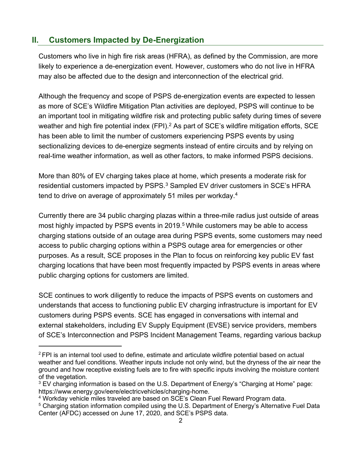## <span id="page-3-0"></span>**II. Customers Impacted by De-Energization**

Customers who live in high fire risk areas (HFRA), as defined by the Commission, are more likely to experience a de-energization event. However, customers who do not live in HFRA may also be affected due to the design and interconnection of the electrical grid.

Although the frequency and scope of PSPS de-energization events are expected to lessen as more of SCE's Wildfire Mitigation Plan activities are deployed, PSPS will continue to be an important tool in mitigating wildfire risk and protecting public safety during times of severe weather and high fire potential index (FPI).<sup>2</sup> As part of SCE's wildfire mitigation efforts, SCE has been able to limit the number of customers experiencing PSPS events by using sectionalizing devices to de-energize segments instead of entire circuits and by relying on real-time weather information, as well as other factors, to make informed PSPS decisions.

More than 80% of EV charging takes place at home, which presents a moderate risk for residential customers impacted by PSPS.<sup>3</sup> Sampled EV driver customers in SCE's HFRA tend to drive on average of approximately 51 miles per workday.<sup>4</sup>

Currently there are 34 public charging plazas within a three-mile radius just outside of areas most highly impacted by PSPS events in 2019.<sup>5</sup> While customers may be able to access charging stations outside of an outage area during PSPS events, some customers may need access to public charging options within a PSPS outage area for emergencies or other purposes. As a result, SCE proposes in the Plan to focus on reinforcing key public EV fast charging locations that have been most frequently impacted by PSPS events in areas where public charging options for customers are limited.

SCE continues to work diligently to reduce the impacts of PSPS events on customers and understands that access to functioning public EV charging infrastructure is important for EV customers during PSPS events. SCE has engaged in conversations with internal and external stakeholders, including EV Supply Equipment (EVSE) service providers, members of SCE's Interconnection and PSPS Incident Management Teams, regarding various backup

 $2$  FPI is an internal tool used to define, estimate and articulate wildfire potential based on actual weather and fuel conditions. Weather inputs include not only wind, but the dryness of the air near the ground and how receptive existing fuels are to fire with specific inputs involving the moisture content of the vegetation.

<sup>&</sup>lt;sup>3</sup> EV charging information is based on the U.S. Department of Energy's "Charging at Home" page: [https://www.energy.gov/eere/electricvehicles/charging-home.](https://www.energy.gov/eere/electricvehicles/charging-home)

<sup>4</sup> Workday vehicle miles traveled are based on SCE's Clean Fuel Reward Program data.

<sup>&</sup>lt;sup>5</sup> Charging station information compiled using the U.S. Department of Energy's Alternative Fuel Data Center (AFDC) accessed on June 17, 2020, and SCE's PSPS data.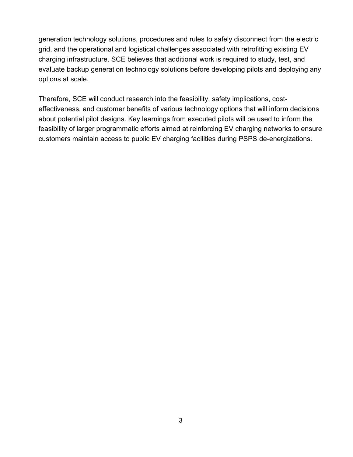generation technology solutions, procedures and rules to safely disconnect from the electric grid, and the operational and logistical challenges associated with retrofitting existing EV charging infrastructure. SCE believes that additional work is required to study, test, and evaluate backup generation technology solutions before developing pilots and deploying any options at scale.

Therefore, SCE will conduct research into the feasibility, safety implications, costeffectiveness, and customer benefits of various technology options that will inform decisions about potential pilot designs. Key learnings from executed pilots will be used to inform the feasibility of larger programmatic efforts aimed at reinforcing EV charging networks to ensure customers maintain access to public EV charging facilities during PSPS de-energizations.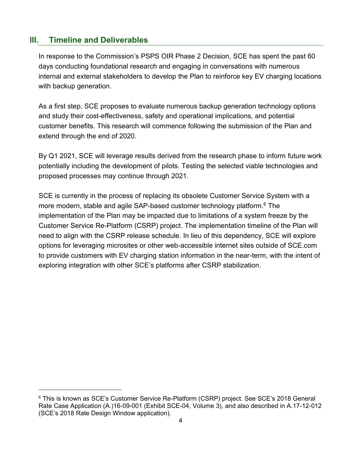#### <span id="page-5-0"></span>**III. Timeline and Deliverables**

In response to the Commission's PSPS OIR Phase 2 Decision, SCE has spent the past 60 days conducting foundational research and engaging in conversations with numerous internal and external stakeholders to develop the Plan to reinforce key EV charging locations with backup generation.

As a first step, SCE proposes to evaluate numerous backup generation technology options and study their cost-effectiveness, safety and operational implications, and potential customer benefits. This research will commence following the submission of the Plan and extend through the end of 2020.

By Q1 2021, SCE will leverage results derived from the research phase to inform future work potentially including the development of pilots. Testing the selected viable technologies and proposed processes may continue through 2021.

SCE is currently in the process of replacing its obsolete Customer Service System with a more modern, stable and agile SAP-based customer technology platform. <sup>6</sup> The implementation of the Plan may be impacted due to limitations of a system freeze by the Customer Service Re-Platform (CSRP) project. The implementation timeline of the Plan will need to align with the CSRP release schedule. In lieu of this dependency, SCE will explore options for leveraging microsites or other web-accessible internet sites outside of SCE.com to provide customers with EV charging station information in the near-term, with the intent of exploring integration with other SCE's platforms after CSRP stabilization.

<sup>&</sup>lt;sup>6</sup> This is known as SCE's Customer Service Re-Platform (CSRP) project. See SCE's 2018 General Rate Case Application (A.)16-09-001 (Exhibit SCE-04, Volume 3), and also described in A.17-12-012 (SCE's 2018 Rate Design Window application).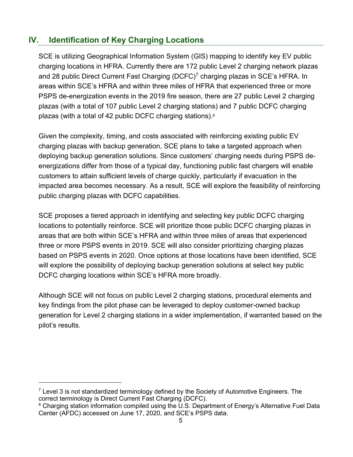## <span id="page-6-0"></span>**IV. Identification of Key Charging Locations**

SCE is utilizing Geographical Information System (GIS) mapping to identify key EV public charging locations in HFRA. Currently there are 172 public Level 2 charging network plazas and 28 public Direct Current Fast Charging (DCFC)<sup>7</sup> charging plazas in SCE's HFRA. In areas within SCE's HFRA and within three miles of HFRA that experienced three or more PSPS de-energization events in the 2019 fire season, there are 27 public Level 2 charging plazas (with a total of 107 public Level 2 charging stations) and 7 public DCFC charging plazas (with a total of 42 public DCFC charging stations).<sup>8</sup>

Given the complexity, timing, and costs associated with reinforcing existing public EV charging plazas with backup generation, SCE plans to take a targeted approach when deploying backup generation solutions. Since customers' charging needs during PSPS deenergizations differ from those of a typical day, functioning public fast chargers will enable customers to attain sufficient levels of charge quickly, particularly if evacuation in the impacted area becomes necessary. As a result, SCE will explore the feasibility of reinforcing public charging plazas with DCFC capabilities.

SCE proposes a tiered approach in identifying and selecting key public DCFC charging locations to potentially reinforce. SCE will prioritize those public DCFC charging plazas in areas that are both within SCE's HFRA and within three miles of areas that experienced three or more PSPS events in 2019. SCE will also consider prioritizing charging plazas based on PSPS events in 2020. Once options at those locations have been identified, SCE will explore the possibility of deploying backup generation solutions at select key public DCFC charging locations within SCE's HFRA more broadly.

Although SCE will not focus on public Level 2 charging stations, procedural elements and key findings from the pilot phase can be leveraged to deploy customer-owned backup generation for Level 2 charging stations in a wider implementation, if warranted based on the pilot's results.

 $7$  Level 3 is not standardized terminology defined by the Society of Automotive Engineers. The correct terminology is Direct Current Fast Charging (DCFC).

<sup>&</sup>lt;sup>8</sup> Charging station information compiled using the U.S. Department of Energy's Alternative Fuel Data Center (AFDC) accessed on June 17, 2020, and SCE's PSPS data.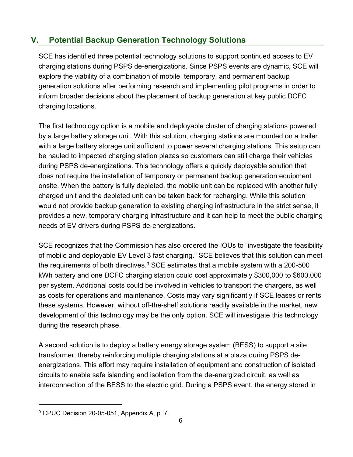## <span id="page-7-0"></span>**V. Potential Backup Generation Technology Solutions**

SCE has identified three potential technology solutions to support continued access to EV charging stations during PSPS de-energizations. Since PSPS events are dynamic, SCE will explore the viability of a combination of mobile, temporary, and permanent backup generation solutions after performing research and implementing pilot programs in order to inform broader decisions about the placement of backup generation at key public DCFC charging locations.

The first technology option is a mobile and deployable cluster of charging stations powered by a large battery storage unit. With this solution, charging stations are mounted on a trailer with a large battery storage unit sufficient to power several charging stations. This setup can be hauled to impacted charging station plazas so customers can still charge their vehicles during PSPS de-energizations. This technology offers a quickly deployable solution that does not require the installation of temporary or permanent backup generation equipment onsite. When the battery is fully depleted, the mobile unit can be replaced with another fully charged unit and the depleted unit can be taken back for recharging. While this solution would not provide backup generation to existing charging infrastructure in the strict sense, it provides a new, temporary charging infrastructure and it can help to meet the public charging needs of EV drivers during PSPS de-energizations.

SCE recognizes that the Commission has also ordered the IOUs to "investigate the feasibility of mobile and deployable EV Level 3 fast charging." SCE believes that this solution can meet the requirements of both directives. $^9$  SCE estimates that a mobile system with a 200-500 kWh battery and one DCFC charging station could cost approximately \$300,000 to \$600,000 per system. Additional costs could be involved in vehicles to transport the chargers, as well as costs for operations and maintenance. Costs may vary significantly if SCE leases or rents these systems. However, without off-the-shelf solutions readily available in the market, new development of this technology may be the only option. SCE will investigate this technology during the research phase.

A second solution is to deploy a battery energy storage system (BESS) to support a site transformer, thereby reinforcing multiple charging stations at a plaza during PSPS deenergizations. This effort may require installation of equipment and construction of isolated circuits to enable safe islanding and isolation from the de-energized circuit, as well as interconnection of the BESS to the electric grid. During a PSPS event, the energy stored in

<sup>&</sup>lt;sup>9</sup> CPUC Decision 20-05-051, Appendix A, p. 7.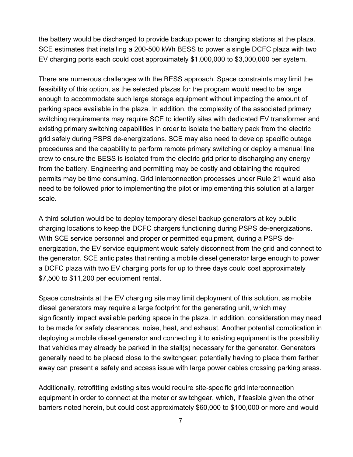the battery would be discharged to provide backup power to charging stations at the plaza. SCE estimates that installing a 200-500 kWh BESS to power a single DCFC plaza with two EV charging ports each could cost approximately \$1,000,000 to \$3,000,000 per system.

There are numerous challenges with the BESS approach. Space constraints may limit the feasibility of this option, as the selected plazas for the program would need to be large enough to accommodate such large storage equipment without impacting the amount of parking space available in the plaza. In addition, the complexity of the associated primary switching requirements may require SCE to identify sites with dedicated EV transformer and existing primary switching capabilities in order to isolate the battery pack from the electric grid safely during PSPS de-energizations. SCE may also need to develop specific outage procedures and the capability to perform remote primary switching or deploy a manual line crew to ensure the BESS is isolated from the electric grid prior to discharging any energy from the battery. Engineering and permitting may be costly and obtaining the required permits may be time consuming. Grid interconnection processes under Rule 21 would also need to be followed prior to implementing the pilot or implementing this solution at a larger scale.

A third solution would be to deploy temporary diesel backup generators at key public charging locations to keep the DCFC chargers functioning during PSPS de-energizations. With SCE service personnel and proper or permitted equipment, during a PSPS deenergization, the EV service equipment would safely disconnect from the grid and connect to the generator. SCE anticipates that renting a mobile diesel generator large enough to power a DCFC plaza with two EV charging ports for up to three days could cost approximately \$7,500 to \$11,200 per equipment rental.

Space constraints at the EV charging site may limit deployment of this solution, as mobile diesel generators may require a large footprint for the generating unit, which may significantly impact available parking space in the plaza. In addition, consideration may need to be made for safety clearances, noise, heat, and exhaust. Another potential complication in deploying a mobile diesel generator and connecting it to existing equipment is the possibility that vehicles may already be parked in the stall(s) necessary for the generator. Generators generally need to be placed close to the switchgear; potentially having to place them farther away can present a safety and access issue with large power cables crossing parking areas.

Additionally, retrofitting existing sites would require site-specific grid interconnection equipment in order to connect at the meter or switchgear, which, if feasible given the other barriers noted herein, but could cost approximately \$60,000 to \$100,000 or more and would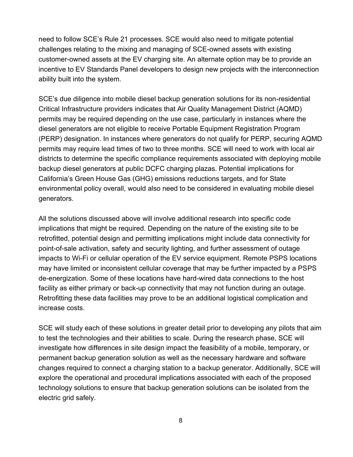need to follow SCE's Rule 21 processes. SCE would also need to mitigate potential challenges relating to the mixing and managing of SCE-owned assets with existing customer-owned assets at the EV charging site. An alternate option may be to provide an incentive to EV Standards Panel developers to design new projects with the interconnection ability built into the system.

SCE's due diligence into mobile diesel backup generation solutions for its non-residential Critical Infrastructure providers indicates that Air Quality Management District (AQMD) permits may be required depending on the use case, particularly in instances where the diesel generators are not eligible to receive Portable Equipment Registration Program (PERP) designation. In instances where generators do not qualify for PERP, securing AQMD permits may require lead times of two to three months. SCE will need to work with local air districts to determine the specific compliance requirements associated with deploying mobile backup diesel generators at public DCFC charging plazas. Potential implications for California's Green House Gas (GHG) emissions reductions targets, and for State environmental policy overall, would also need to be considered in evaluating mobile diesel generators.

All the solutions discussed above will involve additional research into specific code implications that might be required. Depending on the nature of the existing site to be retrofitted, potential design and permitting implications might include data connectivity for point-of-sale activation, safety and security lighting, and further assessment of outage impacts to Wi-Fi or cellular operation of the EV service equipment. Remote PSPS locations may have limited or inconsistent cellular coverage that may be further impacted by a PSPS de-energization. Some of these locations have hard-wired data connections to the host facility as either primary or back-up connectivity that may not function during an outage. Retrofitting these data facilities may prove to be an additional logistical complication and increase costs.

SCE will study each of these solutions in greater detail prior to developing any pilots that aim to test the technologies and their abilities to scale. During the research phase, SCE will investigate how differences in site design impact the feasibility of a mobile, temporary, or permanent backup generation solution as well as the necessary hardware and software changes required to connect a charging station to a backup generator. Additionally, SCE will explore the operational and procedural implications associated with each of the proposed technology solutions to ensure that backup generation solutions can be isolated from the electric grid safely.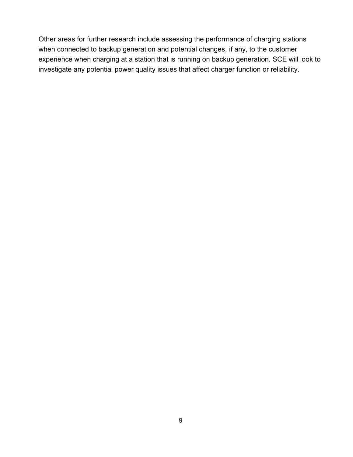Other areas for further research include assessing the performance of charging stations when connected to backup generation and potential changes, if any, to the customer experience when charging at a station that is running on backup generation. SCE will look to investigate any potential power quality issues that affect charger function or reliability.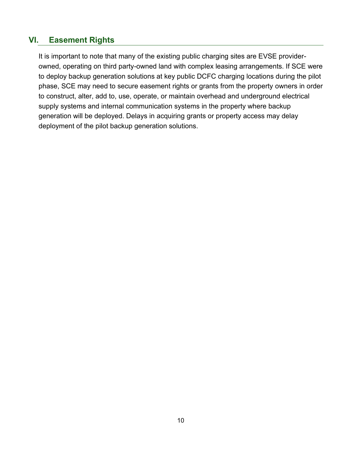## <span id="page-11-0"></span>**VI. Easement Rights**

It is important to note that many of the existing public charging sites are EVSE providerowned, operating on third party-owned land with complex leasing arrangements. If SCE were to deploy backup generation solutions at key public DCFC charging locations during the pilot phase, SCE may need to secure easement rights or grants from the property owners in order to construct, alter, add to, use, operate, or maintain overhead and underground electrical supply systems and internal communication systems in the property where backup generation will be deployed. Delays in acquiring grants or property access may delay deployment of the pilot backup generation solutions.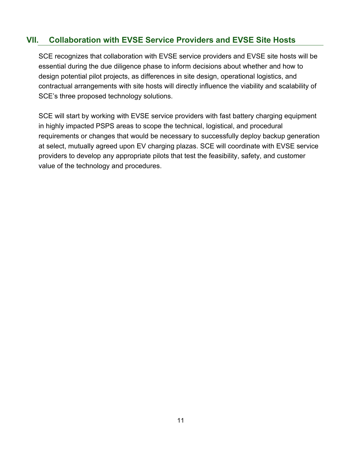## <span id="page-12-0"></span>**VII. Collaboration with EVSE Service Providers and EVSE Site Hosts**

SCE recognizes that collaboration with EVSE service providers and EVSE site hosts will be essential during the due diligence phase to inform decisions about whether and how to design potential pilot projects, as differences in site design, operational logistics, and contractual arrangements with site hosts will directly influence the viability and scalability of SCE's three proposed technology solutions.

SCE will start by working with EVSE service providers with fast battery charging equipment in highly impacted PSPS areas to scope the technical, logistical, and procedural requirements or changes that would be necessary to successfully deploy backup generation at select, mutually agreed upon EV charging plazas. SCE will coordinate with EVSE service providers to develop any appropriate pilots that test the feasibility, safety, and customer value of the technology and procedures.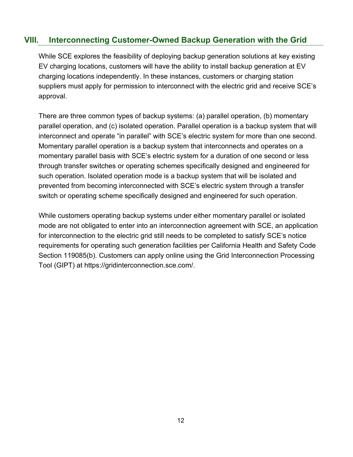### <span id="page-13-0"></span>**VIII. Interconnecting Customer-Owned Backup Generation with the Grid**

While SCE explores the feasibility of deploying backup generation solutions at key existing EV charging locations, customers will have the ability to install backup generation at EV charging locations independently. In these instances, customers or charging station suppliers must apply for permission to interconnect with the electric grid and receive SCE's approval.

There are three common types of backup systems: (a) parallel operation, (b) momentary parallel operation, and (c) isolated operation. Parallel operation is a backup system that will interconnect and operate "in parallel" with SCE's electric system for more than one second. Momentary parallel operation is a backup system that interconnects and operates on a momentary parallel basis with SCE's electric system for a duration of one second or less through transfer switches or operating schemes specifically designed and engineered for such operation. Isolated operation mode is a backup system that will be isolated and prevented from becoming interconnected with SCE's electric system through a transfer switch or operating scheme specifically designed and engineered for such operation.

While customers operating backup systems under either momentary parallel or isolated mode are not obligated to enter into an interconnection agreement with SCE, an application for interconnection to the electric grid still needs to be completed to satisfy SCE's notice requirements for operating such generation facilities per California Health and Safety Code Section 119085(b). Customers can apply online using the Grid Interconnection Processing Tool (GIPT) at https://gridinterconnection.sce.com/.